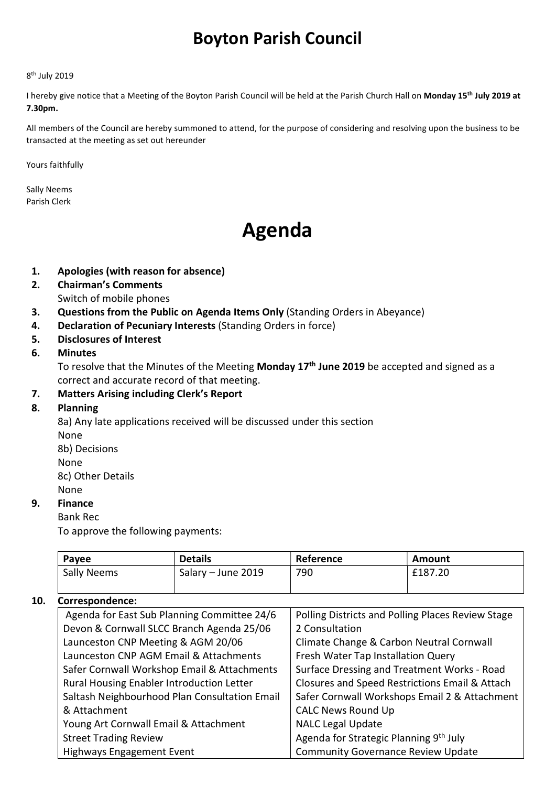## Boyton Parish Council

#### 8<sup>th</sup> July 2019

I hereby give notice that a Meeting of the Boyton Parish Council will be held at the Parish Church Hall on Monday 15<sup>th</sup> July 2019 at 7.30pm.

All members of the Council are hereby summoned to attend, for the purpose of considering and resolving upon the business to be transacted at the meeting as set out hereunder

Yours faithfully

Sally Neems Parish Clerk

# Agenda

- 1. Apologies (with reason for absence)
- 2. Chairman's Comments Switch of mobile phones
- 3. Questions from the Public on Agenda Items Only (Standing Orders in Abeyance)
- 4. Declaration of Pecuniary Interests (Standing Orders in force)
- 5. Disclosures of Interest

#### 6. Minutes

To resolve that the Minutes of the Meeting Monday 17<sup>th</sup> June 2019 be accepted and signed as a correct and accurate record of that meeting.

#### 7. Matters Arising including Clerk's Report

#### 8. Planning

8a) Any late applications received will be discussed under this section None 8b) Decisions None

8c) Other Details None

#### 9. Finance

#### Bank Rec

To approve the following payments:

| Payee       | <b>Details</b>     | Reference | Amount  |
|-------------|--------------------|-----------|---------|
| Sally Neems | Salary - June 2019 | 790       | £187.20 |

#### 10. Correspondence:

| Agenda for East Sub Planning Committee 24/6   | Polling Districts and Polling Places Review Stage |
|-----------------------------------------------|---------------------------------------------------|
| Devon & Cornwall SLCC Branch Agenda 25/06     | 2 Consultation                                    |
| Launceston CNP Meeting & AGM 20/06            | Climate Change & Carbon Neutral Cornwall          |
| Launceston CNP AGM Email & Attachments        | Fresh Water Tap Installation Query                |
| Safer Cornwall Workshop Email & Attachments   | Surface Dressing and Treatment Works - Road       |
| Rural Housing Enabler Introduction Letter     | Closures and Speed Restrictions Email & Attach    |
| Saltash Neighbourhood Plan Consultation Email | Safer Cornwall Workshops Email 2 & Attachment     |
| & Attachment                                  | <b>CALC News Round Up</b>                         |
| Young Art Cornwall Email & Attachment         | <b>NALC Legal Update</b>                          |
| <b>Street Trading Review</b>                  | Agenda for Strategic Planning 9th July            |
| <b>Highways Engagement Event</b>              | <b>Community Governance Review Update</b>         |